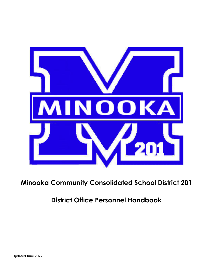

**Minooka Community Consolidated School District 201**

**District Office Personnel Handbook**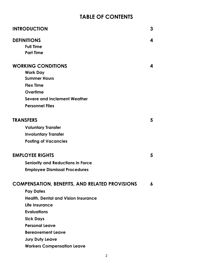# **TABLE OF CONTENTS**

| <b>INTRODUCTION</b>                                   | 3 |
|-------------------------------------------------------|---|
| <b>DEFINITIONS</b>                                    | 4 |
| <b>Full Time</b>                                      |   |
| <b>Part Time</b>                                      |   |
| <b>WORKING CONDITIONS</b>                             | 4 |
| <b>Work Day</b>                                       |   |
| <b>Summer Hours</b>                                   |   |
| <b>Flex Time</b>                                      |   |
| Overtime                                              |   |
| <b>Severe and Inclement Weather</b>                   |   |
| <b>Personnel Files</b>                                |   |
|                                                       |   |
| <b>TRANSFERS</b>                                      | 5 |
| <b>Voluntary Transfer</b>                             |   |
| <b>Involuntary Transfer</b>                           |   |
| <b>Posting of Vacancies</b>                           |   |
| <b>EMPLOYEE RIGHTS</b>                                | 5 |
| <b>Seniority and Reductions in Force</b>              |   |
| <b>Employee Dismissal Procedures</b>                  |   |
|                                                       |   |
| <b>COMPENSATION, BENEFITS, AND RELATED PROVISIONS</b> | 6 |
| <b>Pay Dates</b>                                      |   |
| <b>Health, Dental and Vision Insurance</b>            |   |
| Life Insurance                                        |   |
| <b>Evaluations</b>                                    |   |
| <b>Sick Days</b>                                      |   |
| <b>Personal Leave</b>                                 |   |
| <b>Bereavement Leave</b>                              |   |
| <b>Jury Duty Leave</b>                                |   |
| <b>Workers Compensation Leave</b>                     |   |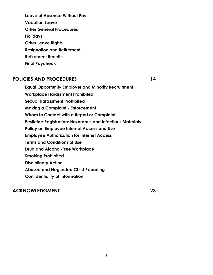**Leave of Absence Without Pay Vacation Leave Other General Procedures Holidays Other Leave Rights Resignation and Retirement Retirement Benefits Final Paycheck**

## **POLICIES AND PROCEDURES 14**

**Equal Opportunity Employer and Minority Recruitment Workplace Harassment Prohibited Sexual Harassment Prohibited Making a Complaint - Enforcement Whom to Contact with a Report or Complaint Pesticide Registration: Hazardous and Infectious Materials Policy on Employee Internet Access and Use Employee Authorization for Internet Access Terms and Conditions of Use Drug and Alcohol-Free Workplace Smoking Prohibited Disciplinary Action Abused and Neglected Child Reporting Confidentiality of Information**

## **ACKNOWLEDGMENT 23**

3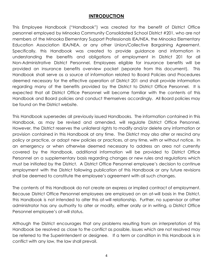## **INTRODUCTION**

This Employee Handbook ("Handbook") was created for the benefit of District Office personnel employed by Minooka Community Consolidated School District #201, who are not members of the Minooka Elementary Support Professionals IEA/NEA, the Minooka Elementary Education Association IEA/NEA, or any other Union/Collective Bargaining Agreement. Specifically, this Handbook was created to provide guidance and information in understanding the benefits and obligations of employment in District 201 for all Non-Administrative District Personnel. Employees eligible for insurance benefits will be provided an insurance benefits overview packet (separate from this document). This Handbook shall serve as a source of information related to Board Policies and Procedures deemed necessary for the effective operation of District 201 and shall provide information regarding many of the benefits provided by the District to District Office Personnel. It is expected that all District Office Personnel will become familiar with the contents of this Handbook and Board policies and conduct themselves accordingly. All Board policies may be found on the District website.

This Handbook supersedes all previously issued Handbooks. The information contained in this Handbook, as may be revised and amended, will regulate District Office Personnel. However, the District reserves the unilateral rights to modify and/or delete any information or provision contained in this Handbook at any time. The District may also alter or rescind any policy or practice, or adopt new policies or practices, at any time, with or without notice. In an emergency or when otherwise deemed necessary to address an area not currently covered by the Handbook, additional information will be provided to District Office Personnel on a supplementary basis regarding changes or new rules and regulations which must be initiated by the District. A District Office Personnel employee's decision to continue employment with the District following publication of this Handbook or any future revisions shall be deemed to constitute the employee's agreement with all such changes.

The contents of this Handbook do not create an express or implied contract of employment. Because District Office Personnel employees are employed on an at-will basis in the District, this Handbook is not intended to alter this at-will relationship. Further, no supervisor or other administrator has any authority to alter or modify, either orally or in writing, a District Office Personnel employee's at-will status.

Although the District encourages that any problems resulting from an interpretation of this Handbook be resolved as close to the conflict as possible, issues which are not resolved may be referred to the Superintendent or designee. If a term or condition in this Handbook is in conflict with any law, the law shall prevail.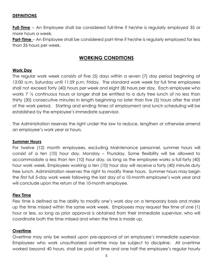## **DEFINITIONS**

**Full-Time** – An Employee shall be considered full-time if he/she is regularly employed 35 or more hours a week.

**Part-Time** – An Employee shall be considered part-time if he/she is regularly employed for less than 35 hours per week.

## **WORKING CONDITIONS**

## **Work Day**

The regular work week consists of five (5) days within a seven (7) day period beginning at 12:00 a.m. Saturday until 11:59 p.m. Friday. The standard work week for full time employees shall not exceed forty (40) hours per week and eight (8) hours per day. Each employee who works 7  $\frac{1}{2}$  continuous hours or longer shall be entitled to a duty free lunch of no less than thirty (30) consecutive minutes in length beginning no later than five (5) hours after the start of the work period. Starting and ending times of employment and lunch scheduling will be established by the employee's immediate supervisor.

The Administration reserves the right under the law to reduce, lengthen or otherwise amend an employee's work year or hours.

#### **Summer Hours**

For twelve (12) month employees, excluding Maintenance personnel, summer hours will consist of a ten (10) hour day, Monday – Thursday. Some flexibility will be allowed to accommodate a less than ten (10) hour day, as long as the employee works a full forty (40) hour work week. Employees working a ten (10) hour day will receive a forty (40) minute duty free lunch. Administration reserves the right to modify these hours. Summer hours may begin the first full 5-day work week following the last day of a 10-month employee's work year and will conclude upon the return of the 10-month employee.

#### **Flex Time**

Flex time is defined as the ability to modify one's work day on a temporary basis and make up the time missed within the same work week. Employees may request flex time of one (1) hour or less, so long as prior approval is obtained from their immediate supervisor, who will coordinate both the time missed and when the time is made up.

## **Overtime**

Overtime may only be worked upon pre-approval of an employee's immediate supervisor. Employees who work unauthorized overtime may be subject to discipline. All overtime worked beyond 40 hours, shall be paid at time and one half the employee's regular hourly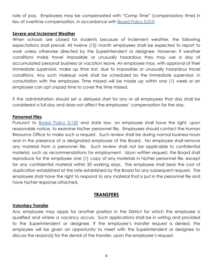rate of pay. Employees may be compensated with "Comp Time" (compensatory time) in lieu of overtime compensation, in accordance with [Board Policy 5:310](https://resources.finalsite.net/images/v1637099695/min201org/h77vlqstrkvs4rm3mbtz/5310_1.pdf).

#### **Severe and Inclement Weather**

When schools are closed for students because of inclement weather, the following expectations shall prevail. All twelve (12) month employees shall be expected to report to work unless otherwise directed by the Superintendent or designee. However, if weather conditions make travel impossible or unusually hazardous they may use a day of accumulated personal business or vacation leave. An employee may, with approval of their immediate supervisor, make up time lost, due to impossible or unusually hazardous travel conditions. Any such makeup work shall be scheduled by the immediate supervisor, in consultation with the employee. Time missed will be made up within one (1) week or an employee can opt unpaid time to cover the time missed.

If the administration should set a delayed start for any or all employees that day shall be considered a full day and does not affect the employees' compensation for the day.

## **Personnel Files**

Pursuant to [Board](https://resources.finalsite.net/images/v1650642558/min201org/fcq26bvejpskrlnnyrpi/5150_1.pdf) Policy 5:150 and state law, an employee shall have the right, upon reasonable notice, to examine his/her personnel file. Employees should contact the Human Resource Office to make such a request. Such review shall be during normal business hours and in the presence of a designated employee of the Board. No employee shall remove any material from a personnel file. Such review shall not be applicable to confidential material, such as recommendations for employment. Upon written request, the Board shall reproduce for the employee one (1) copy of any materials in his/her personnel file, except for any confidential material within 20 working days. The employee shall bear the cost of duplication established at the rate established by the Board for any subsequent request. The employee shall have the right to respond to any material that is put in the personnel file and have his/her response attached.

## **TRANSFERS**

#### **Voluntary Transfer**

Any employee may apply for another position in the District for which the employee is qualified and where a vacancy occurs. Such applications shall be in writing and provided to the Superintendent or designee. If the employee's transfer request is denied, the employee will be given an opportunity to meet with the Superintendent or designee to discuss the reason(s) for the denial of the transfer, upon the employee's request.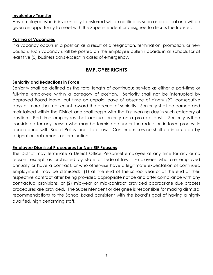## **Involuntary Transfer**

Any employee who is involuntarily transferred will be notified as soon as practical and will be given an opportunity to meet with the Superintendent or designee to discuss the transfer.

## **Posting of Vacancies**

If a vacancy occurs in a position as a result of a resignation, termination, promotion, or new position, such vacancy shall be posted on the employee bulletin boards in all schools for at least five (5) business days except in cases of emergency.

## **EMPLOYEE RIGHTS**

## **Seniority and Reductions in Force**

Seniority shall be defined as the total length of continuous service as either a part-time or full-time employee within a category of position. Seniority shall not be interrupted by approved Board leave, but time on unpaid leave of absence of ninety (90) consecutive days or more shall not count toward the accrual of seniority. Seniority shall be earned and maintained within the District and shall begin with the first working day in such category of position. Part-time employees shall accrue seniority on a pro-rata basis. Seniority will be considered for any person who may be terminated under the reduction-in-force process in accordance with Board Policy and state law. Continuous service shall be interrupted by resignation, retirement, or termination.

## **Employee Dismissal Procedures for Non-RIF Reasons**

The District may terminate a District Office Personnel employee at any time for any or no reason, except as prohibited by state or federal law. Employees who are employed annually or have a contract, or who otherwise have a legitimate expectation of continued employment, may be dismissed: (1) at the end of the school year or at the end of their respective contract after being provided appropriate notice and after compliance with any contractual provisions, or (2) mid-year or mid-contract provided appropriate due process procedures are provided. The Superintendent or designee is responsible for making dismissal recommendations to the School Board consistent with the Board's goal of having a highly qualified, high performing staff.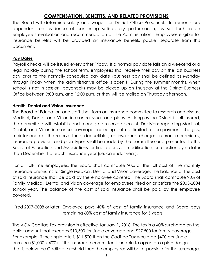## **COMPENSATION, BENEFITS, AND RELATED PROVISIONS**

The Board will determine salary and wages for District Office Personnel. Increments are dependent on evidence of continuing satisfactory performance, as set forth in an employee's evaluation and recommendation of the Administration. Employees eligible for insurance benefits will be provided an insurance benefits packet separate from this document.

## **Pay Dates**

Payroll checks will be issued every other Friday. If a normal pay date falls on a weekend or a legal holiday during the school term, employees shall receive their pay on the last business day prior to the normally scheduled pay date (business day shall be defined as Monday through Friday when the administrative office is open.) During the summer months, when school is not in session, paychecks may be picked up on Thursday at the District Business Office between 9:00 a.m. and 12:00 p.m. or they will be mailed on Thursday afternoon.

## **Health, Dental and Vision Insurance**

The Board of Education and staff shall form an insurance committee to research and discuss Medical, Dental and Vision insurance issues and plans. As long as the District is self-insured, the committee will establish and manage a reserve account. Decisions regarding Medical, Dental, and Vision insurance coverage, including but not limited to: co-payment charges, maintenance of the reserve fund, deductibles, co-insurance charges, insurance premiums, insurance providers and plan types shall be made by the committee and presented to the Board of Education and Associations for final approval, modification, or rejection by no later than December 1 of each insurance year (i.e. calendar year).

For all full-time employees, the Board shall contribute 90% of the full cost of the monthly insurance premiums for Single Medical, Dental and Vision coverage. The balance of the cost of said insurance shall be paid by the employee covered. The Board shall contribute 90% of Family Medical, Dental and Vision coverage for employees hired on or before the 2003-2004 school year. The balance of the cost of said insurance shall be paid by the employee covered.

Hired 2007-2008 or later Employee pays 40% of cost of family insurance and Board pays remaining 60% cost of family insurance for 5 years.

The ACA Cadillac Tax provision is effective January 1, 2018. The tax is a 40% surcharge on the dollar amount that exceeds \$10,500 for single coverage and \$27,500 for family coverage. For example, if the single rate is \$11,500 then the Cadillac Tax would be \$400 per single enrollee (\$1,000 x 40%). If the insurance committee is unable to agree on a plan design that is below the Cadillac threshold then the employees will be responsible for the surcharge.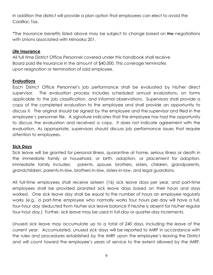In addition the district will provide a plan option that employees can elect to avoid the Cadillac Tax.

\*The Insurance benefits listed above may be subject to change based on the negotiations with Unions associated with Minooka 201.

#### **Life Insurance**

All full time District Office Personnel covered under this handbook shall receive Board paid life insurance in the amount of \$40,000. This coverage terminates upon resignation or termination of said employee.

## **Evaluations**

Each District Office Personnel's job performance shall be evaluated by his/her direct supervisor. The evaluation process includes scheduled annual evaluations, on forms applicable to the job classification, and informal observations. Supervisors shall provide a copy of the completed evaluation to the employee and shall provide an opportunity to discuss it. The original should be signed by the employee and the supervisor and filed in the employee's personnel file. A signature indicates that the employee has had the opportunity to discuss the evaluation and received a copy. It does not indicate agreement with the evaluation. As appropriate, supervisors should discuss job performance issues that require attention to employees.

#### **Sick Days**

Sick leave will be granted for personal illness, quarantine at home, serious illness or death in the immediate family or household, or birth, adoption, or placement for adoption. Immediate family includes: parents, spouse, brothers, sisters, children, grandparents, grandchildren, parents-in-law, brothers-in-law, sisters-in-law, and legal guardians.

All full-time employees shall receive sixteen (16) sick leave days per year, and part-time employees shall be provided prorated sick leave days based on their hours and days worked. One sick leave day shall be equal to the number of hours an employee regularly works (e.g., a part-time employee who normally works four hours per day will have a full, four-hour day deducted from his/her sick leave balance if he/she is absent for his/her regular four-hour day.) Further, sick leave may be used in full-day or quarter-day increments.

Unused sick leave may accumulate up to a total of 240 days, including the leave of the current year. Accumulated, unused sick days will be reported to IMRF in accordance with the rules and procedures established by the IMRF upon the employee's leaving the District and will count toward the employee's years of service to the extent allowed by the IMRF.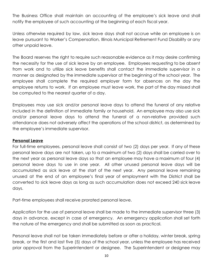The Business Office shall maintain an accounting of the employee's sick leave and shall notify the employee of such accounting at the beginning of each fiscal year.

Unless otherwise required by law, sick leave days shall not accrue while an employee is on leave pursuant to Worker's Compensation, Illinois Municipal Retirement Fund Disability or any other unpaid leave.

The Board reserves the right to require such reasonable evidence as it may desire confirming the necessity for the use of sick leave by an employee. Employees requesting to be absent from work and to utilize sick leave benefits shall contact the immediate supervisor in a manner as designated by the immediate supervisor at the beginning of the school year. The employee shall complete the required employer form for absences on the day the employee returns to work. If an employee must leave work, the part of the day missed shall be computed to the nearest quarter of a day.

Employees may use sick and/or personal leave days to attend the funeral of any relative included in the definition of immediate family or household. An employee may also use sick and/or personal leave days to attend the funeral of a non-relative provided such attendance does not adversely affect the operations of the school district, as determined by the employee's immediate supervisor.

## **Personal Leave**

For full-time employees, personal leave shall consist of two (2) days per year. If any of these personal leave days are not taken, up to a maximum of two (2) days shall be carried over to the next year as personal leave days so that an employee may have a maximum of four (4) personal leave days to use in one year. All other unused personal leave days will be accumulated as sick leave at the start of the next year. Any personal leave remaining unused at the end of an employee's final year of employment with the District shall be converted to sick leave days as long as such accumulation does not exceed 240 sick leave days.

Part-time employees shall receive prorated personal leave.

Application for the use of personal leave shall be made to the immediate supervisor three (3) days in advance, except in case of emergency. An emergency application shall set forth the nature of the emergency and shall be submitted as soon as practical.

Personal leave shall not be taken immediately before or after a holiday, winter break, spring break, or the first and last five (5) days of the school year, unless the employee has received prior approval from the Superintendent or designee. The Superintendent or designee may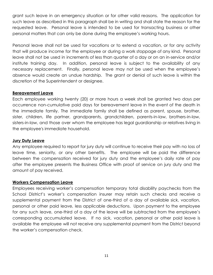grant such leave in an emergency situation or for other valid reasons. The application for such leave as described in this paragraph shall be in writing and shall state the reason for the requested leave. Personal leave is intended to be used for transacting business or other personal matters that can only be done during the employee's working hours.

Personal leave shall not be used for vacations or to extend a vacation, or for any activity that will produce income for the employee or during a work stoppage of any kind. Personal leave shall not be used in increments of less than quarter of a day or on an in-service and/or institute training day. In addition, personal leave is subject to the availability of any necessary replacement. Finally, personal leave may not be used when the employee's absence would create an undue hardship. The grant or denial of such leave is within the discretion of the Superintendent or designee.

#### **Bereavement Leave**

Each employee working twenty (20) or more hours a week shall be granted two days per occurrence non-cumulative paid days for bereavement leave in the event of the death in the immediate family. The immediate family shall be defined as parent, spouse, brother, sister, children, life partner, grandparents, grandchildren, parents-in-law, brothers-in-law, sisters-in-law, and those over whom the employee has legal guardianship or relatives living in the employee's immediate household.

#### **Jury Duty Leave**

Any employee required to report for jury duty will continue to receive their pay with no loss of leave time, seniority, or any other benefits. The employee will be paid the difference between the compensation received for jury duty and the employee's daily rate of pay after the employee presents the Business Office with proof of service on jury duty and the amount of pay received.

## **Workers Compensation Leave**

Employees receiving worker's compensation temporary total disability paychecks from the School District's worker's compensation insurer may retain such checks and receive a supplemental payment from the District of one-third of a day of available sick, vacation, personal or other paid leave, less applicable deductions. Upon payment to the employee for any such leave, one-third of a day of the leave will be subtracted from the employee's corresponding accumulated leave. If no sick, vacation, personal or other paid leave is available the employee will not receive any supplemental payment from the District beyond the worker's compensation check.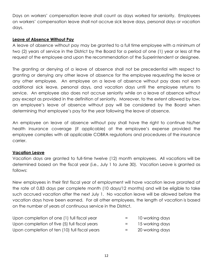Days on workers' compensation leave shall count as days worked for seniority. Employees on workers' compensation leave shall not accrue sick leave days, personal days or vacation days.

## **Leave of Absence Without Pay**

A leave of absence without pay may be granted to a full time employee with a minimum of two (2) years of service in the District by the Board for a period of one (1) year or less at the request of the employee and upon the recommendation of the Superintendent or designee.

The granting or denying of a leave of absence shall not be precedential with respect to granting or denying any other leave of absence for the employee requesting the leave or any other employee. An employee on a leave of absence without pay does not earn additional sick leave, personal days, and vacation days until the employee returns to service. An employee also does not accrue seniority while on a leave of absence without pay except as provided in the definition of seniority. Moreover, to the extent allowed by law, an employee's leave of absence without pay will be considered by the Board when determining that employee's pay for the year following the leave of absence.

An employee on leave of absence without pay shall have the right to continue his/her health insurance coverage (if applicable) at the employee's expense provided the employee complies with all applicable COBRA regulations and procedures of the insurance carrier.

## **Vacation Leave**

Vacation days are granted to full-time twelve (12) month employees. All vacations will be determined based on the fiscal year (i.e., July 1 to June 30). Vacation Leave is granted as follows:

New employees in their first fiscal year of employment will have vacation leave prorated at the rate of 0.83 days per complete month (10 days/12 months) and will be eligible to take such accrued vacation after the next July 1. No vacation leave will be allowed before the vacation days have been earned. For all other employees, the length of vacation is based on the number of years of continuous service in the District.

| Upon completion of one (1) full fiscal year   | $=$     | 10 working days |
|-----------------------------------------------|---------|-----------------|
| Upon completion of five (5) full fiscal years | $=$ $-$ | 15 working days |
| Upon completion of ten (10) full fiscal years | $=$ $-$ | 20 working days |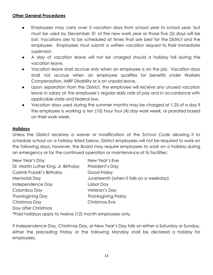## **Other General Procedures**

- Employees may carry over 5 vacation days from school year to school year, but must be used by December 31 of the new work year or those five (5) days will be lost. Vacations are to be scheduled at times that are best for the District and the employee. Employees must submit a written vacation request to their immediate supervisor.
- A day of vacation leave will not be charged should a holiday fall during the vacation leave.
- Vacation leave shall accrue only when an employee is on the job. Vacation days shall not accrue when an employee qualifies for benefits under Workers Compensation, IMRF Disability or is on unpaid leave.
- **●** Upon separation from the District, the employee will receive any unused vacation leave in salary at the employee's regular daily rate of pay and in accordance with applicable state and federal law.
- Vacation days used during the summer months may be charged at 1.25 of a day if the employee is working a ten (10) hour four (4) day work week, or prorated based on their work week.

## **Holidays**

Unless the District receives a waiver or modification of the *School Code* allowing it to schedule school on a holiday listed below, District employees will not be required to work on the following days; however, the Board may require employees to work on a holiday during an emergency or for the continued operation or maintenance of its facilities:

| New Year's Day                                            | New Year's Eve                          |
|-----------------------------------------------------------|-----------------------------------------|
|                                                           |                                         |
| Dr. Martin Luther King, Jr. Birthday                      | President's Day                         |
| Casimir Pulaski's Birthday                                | Good Friday                             |
| <b>Memorial Day</b>                                       | Juneteenth (when it falls on a weekday) |
| Independence Day                                          | Labor Day                               |
| Columbus Day                                              | Veteran's Day                           |
| <b>Thanksgiving Day</b>                                   | Thanksgiving Friday                     |
| Christmas Day                                             | Christmas Eve                           |
| Day after Christmas                                       |                                         |
| *Paid holidays apply to twelve (12) month employees only. |                                         |

If Independence Day, Christmas Day, or New Year's Day falls on either a Saturday or Sunday, either the preceding Friday or the following Monday shall be declared a holiday for employees.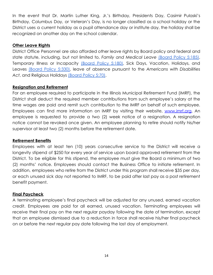In the event that Dr. Martin Luther King, Jr.'s Birthday, Presidents Day, Casimir Pulaski's Birthday, Columbus Day, or Veteran's Day, is no longer classified as a school holiday or the District uses a current holiday as a pupil attendance day or institute day, the holiday shall be recognized on another day on the school calendar.

#### **Other Leave Rights**

District Office Personnel are also afforded other leave rights by Board policy and federal and state statute, including, but not limited to, *Family and Medical Leave* [\(Board](https://resources.finalsite.net/images/v1650642549/min201org/l555omerqnqcr4le3bjo/5185_1.pdf) Policy 5:185), Temporary Illness or Incapacity [\(Board](https://resources.finalsite.net/images/v1582056574/min201org/uhl3rlakoyjbixzfvldz/5180_1.pdf) Policy 5:180), Sick Days, Vacation, Holidays, and Leaves [\(Board](https://resources.finalsite.net/images/v1650642488/min201org/rvwgf67ehmacb01na1ed/5330_1.pdf) Policy 5:330), leave of absence pursuant to the *Americans with Disabilities Act*, and Religious Holidays [\(Board Policy 5:70\)](https://resources.finalsite.net/images/v1556829329/min201org/jldvftfznmqqyxdqsap2/570.pdf).

## **Resignation and Retirement**

For an employee required to participate in the Illinois Municipal Retirement Fund (IMRF), the District shall deduct the required member contributions from such employee's salary at the time wages are paid and remit such contribution to the IMRF on behalf of such employee. Employees can find more information on IMRF by visiting their website, [www.imrf.org.](http://www.imrf.org) An employee is requested to provide a two (2) week notice of a resignation. A resignation notice cannot be revoked once given. An employee planning to retire should notify his/her supervisor at least two (2) months before the retirement date.

## **Retirement Benefits**

Employees with at least ten (10) years consecutive service to the District will receive a longevity stipend of \$250 for every year of service upon board approved retirement from the District. To be eligible for this stipend, the employee must give the Board a minimum of two (2) months' notice. Employees should contact the Business Office to initiate retirement. In addition, employees who retire from the District under this program shall receive \$35 per day, or each unused sick day not reported to IMRF, to be paid after last pay as a post retirement benefit payment.

## **Final Paycheck**

A terminating employee's final paycheck will be adjusted for any unused, earned vacation credit. Employees are paid for all earned, unused vacation. Terminating employees will receive their final pay on the next regular payday following the date of termination, except that an employee dismissed due to a reduction in force shall receive his/her final paycheck on or before the next regular pay date following the last day of employment.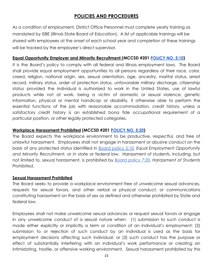## **POLICIES AND PROCEDURES**

As a condition of employment, District Office Personnel must complete yearly training as mandated by ISBE (Illinois State Board of Education). A list of applicable trainings will be shared with employees at the onset of each school year and completion of these trainings will be tracked by the employee's direct supervisor.

## **Equal Opportunity Employer and Minority Recruitment (MCCSD #201 [POLICY NO. 5:10\)](https://resources.finalsite.net/images/v1649098969/min201org/snmny9olr5ikocf10atw/510_1.pdf)**

It is the Board's policy to comply with all federal and Illinois employment laws. The Board shall provide equal employment opportunities to all persons regardless of their race, color, creed, religion, national origin, sex, sexual orientation, age, ancestry, marital status, arrest record, military status, order of protection status, unfavorable military discharge, citizenship status provided the individual is authorized to work in the United States, use of lawful products while not at work, being a victim of domestic or sexual violence, genetic information, physical or mental handicap or disability, if otherwise able to perform the essential functions of the job with reasonable accommodation, credit history, unless a satisfactory credit history is an established bona fide occupational requirement of a particular position, or other legally protected categories.

## **Workplace Harassment Prohibited (MCCSD #201 POLICY [NO. 5:20](https://resources.finalsite.net/images/v1649098969/min201org/vuuz2el9tahujbjxlgkc/520_1.pdf))**

The Board expects the workplace environment to be productive, respectful, and free of unlawful harassment. Employees shall not engage in harassment or abusive conduct on the basis of any protected status identified in Board [policy](https://resources.finalsite.net/images/v1649098969/min201org/snmny9olr5ikocf10atw/510_1.pdf) *5:10, Equal Employment Opportunity and Minority Recruitment,* or in state or federal law. Harassment of students, including, but not limited to, sexual harassment, is prohibited by Board [policy](https://resources.finalsite.net/images/v1651173087/min201org/nthmdrs9ptvuwk15h2to/720.pdf) *7:20, Harassment of Students Prohibited*.

## **Sexual Harassment Prohibited**

The Board seeks to provide a workplace environment free of unwelcome sexual advances, requests for sexual favors, and other verbal or physical conduct, or communications constituting harassment on the basis of sex as defined and otherwise prohibited by State and federal law.

Employees shall not make unwelcome sexual advances or request sexual favors or engage in any unwelcome conduct of a sexual nature when: (1) submission to such conduct is made either explicitly or implicitly a term or condition of an individual's employment; (2) submission to or rejection of such conduct by an individual is used as the basis for employment decisions affecting such individual; or (3) such conduct has the purpose or effect of substantially interfering with an individual's work performance or creating an intimidating, hostile, or offensive working environment. Sexual harassment prohibited by this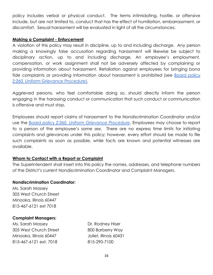policy includes verbal or physical conduct. The terms intimidating, hostile, or offensive include, but are not limited to, conduct that has the effect of humiliation, embarrassment, or discomfort. Sexual harassment will be evaluated in light of all the circumstances.

## **Making a Complaint - Enforcement**

A violation of this policy may result in discipline, up to and including discharge. Any person making a knowingly false accusation regarding harassment will likewise be subject to disciplinary action, up to and including discharge. An employee's employment, compensation, or work assignment shall not be adversely affected by complaining or providing information about harassment. Retaliation against employees for bringing bona fide complaints or providing information about harassment is prohibited (see Board [policy](https://resources.finalsite.net/images/v1645132975/min201org/okhlto6j6zttlgbqccio/2260_3.pdf) *[2:260, Uniform Grievance Procedure](https://resources.finalsite.net/images/v1645132975/min201org/okhlto6j6zttlgbqccio/2260_3.pdf)*).

Aggrieved persons, who feel comfortable doing so, should directly inform the person engaging in the harassing conduct or communication that such conduct or communication is offensive and must stop.

Employees should report claims of harassment to the Nondiscrimination Coordinator and/or use the Board policy *2:260, Uniform [Grievance](https://resources.finalsite.net/images/v1645132975/min201org/okhlto6j6zttlgbqccio/2260_3.pdf) Procedure*. Employees may choose to report to a person of the employee's same sex. There are no express time limits for initiating complaints and grievances under this policy; however, every effort should be made to file such complaints as soon as possible, while facts are known and potential witnesses are available.

## **Whom to Contact with a Report or Complaint**

The Superintendent shall insert into this policy the names, addresses, and telephone numbers of the District's current Nondiscrimination Coordinator and Complaint Managers.

## **Nondiscrimination Coordinator:**

Ms. Sarah Massey 305 West Church Street Minooka, Illinois 60447 815-467-6121 ext 7018

## **Complaint Managers:**

Ms. Sarah Massey **Dr. Rodney Hiser** 305 West Church Street 800 Barberry Way Minooka, Illinois 60447 Joliet, Illinois 60431 815-467-6121 ext. 7018 815-290-7100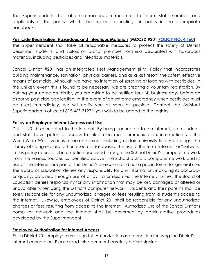The Superintendent shall also use reasonable measures to inform staff members and applicants of this policy, which shall include reprinting this policy in the appropriate handbooks.

## **Pesticide Registration: Hazardous and Infectious Materials (MCCSD #201 [POLICY NO. 4:160\)](https://resources.finalsite.net/images/v1649083169/min201org/cif5foaz5owzs0shwg7n/4160_1.pdf)**

The Superintendent shall take all reasonable measures to protect the safety of District personnel, students, and visitors on District premises from risks associated with hazardous materials, including pesticides and infectious materials.

School District #201 has an Integrated Pest Management (lPM) Policy that incorporates building maintenance, sanitation, physical barriers, and as a last resort, the safest, effective means of pesticide. Although we have no intention of spraying or fogging with pesticides, in the unlikely event this is found to be necessary, we are creating a voluntary registration. By putting your name on this list, you are asking to be notified four (4) business days before an airborne pesticide application. In the event of an extreme emergency when pesticides must be used immediately, we will notify you as soon as possible. Contact the Assistant Superintendent's office at 815-467-3127 if you wish to be added to the registry**.**

## **Policy on Employee Internet Access and Use**

District 201 is connected to the Internet. By being connected to the Internet, both students and staff have potential access to: electronic mail communication; information via the World-Wide Web; various research sources including certain university library catalogs; the Library of Congress; and other research databases. The use of the term "Internet" or "network" in this policy refers to all information accessed through the School District's computer network from the various sources as identified above. The School District's computer network and its use of the Internet are part of the District's curriculum and not a public forum for general use. The Board of Education denies any responsibility for any information, including its accuracy or quality, obtained through use of or by transmission via the Internet. Further, the Board of Education denies responsibility for any information that may be lost, damaged or altered or unavailable when using the District's computer network. Students and their parents shall be solely responsible for any unauthorized charges or fees resulting from a student's access to the Internet. Likewise, employees of District 201 shall be responsible for any unauthorized charges or fees resulting from access to the Internet. Authorized use of the School District's computer network and the Internet shall be governed by administrative procedures developed by the Superintendent.

## **Employee Authorization for Internet Access**

Each District 201 employee must sign this Authorization as a condition for using the District's Internet connection. Please read this document carefully before signing.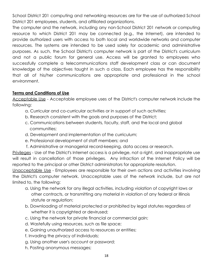School District 201 computing and networking resources are for the use of authorized School District 201 employees, students, and affiliated organizations.

The computer and the network, including any non-School District 201 network or computing resource to which District 201 may be connected (e.g., the Internet), are intended to provide authorized users with access to both local and worldwide networks and computer resources. The systems are intended to be used solely for academic and administrative purposes. As such, the School District's computer network is part of the District's curriculum and not a public forum for general use. Access will be granted to employees who successfully complete a telecommunications staff development class or can document knowledge of the objectives taught in such a class. Each employee has the responsibility that all of his/her communications are appropriate and professional in the school environment.

## **Terms and Conditions of Use**

Acceptable Use - Acceptable employee uses of the District's computer network include the following:

- a. Curricular and co-curricular activities or in support of such activities;
- b. Research consistent with the goals and purposes of the District;
- c. Communications between students, faculty, staff, and the local and global communities;
- d. Development and implementation of the curriculum;
- e. Professional development of staff members; and
- f. Administrative or managerial record-keeping, data access or research.

Privileges - Use of the District's Internet access is a privilege, not a right, and inappropriate use will result in cancellation of those privileges. Any infraction of the Internet Policy will be reported to the principal or other District administrators for appropriate resolution.

Unacceptable Use - Employees are responsible for their own actions and activities involving the District's computer network. Unacceptable uses of the network include, but are not limited to, the following:

- a. Using the network for any illegal activities, including violation of copyright laws or other contracts, or transmitting any material in violation of any federal or Illinois statute or regulation;
- b. Downloading of material protected or prohibited by legal statutes regardless of whether it is copyrighted or devirused;
- c. Using the network for private financial or commercial gain;
- d. Wastefully using resources, such as file space;
- e. Gaining unauthorized access to resources or entities;
- f. Invading the privacy of individuals;
- g. Using another user's account or password;
- h. Posting anonymous messages;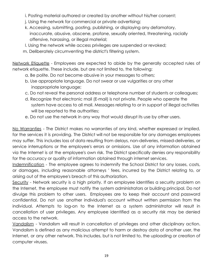- i. Posting material authored or created by another without his/her consent;
- j. Using the network for commercial or private advertising;
- k. Accessing, submitting, posting, publishing, or displaying any defamatory, inaccurate, abusive, obscene, profane, sexually oriented, threatening, racially offensive, harassing, or illegal material;
- l. Using the network while access privileges are suspended or revoked;
- m. Deliberately circumventing the district's filtering system.

Network Etiquette - Employees are expected to abide by the generally accepted rules of network etiquette. These include, but are not limited to, the following:

- a. Be polite. Do not become abusive in your messages to others;
- b. Use appropriate language. Do not swear or use vulgarities or any other inappropriate language;
- c. Do not reveal the personal address or telephone number of students or colleagues;
- d. Recognize that electronic mail (E-mail) is not private. People who operate the system have access to all mail. Messages relating to or in support of illegal activities will be reported to the authorities;
- e. Do not use the network in any way that would disrupt its use by other users.

No Warranties - The District makes no warranties of any kind, whether expressed or implied, for the services it is providing. The District will not be responsible for any damages employees may suffer. This includes loss of data resulting from delays, non-deliveries, missed-deliveries, or service interruptions or the employee's errors or omissions. Use of any information obtained via the Internet is at the employee's own risk. The District specifically denies any responsibility for the accuracy or quality of information obtained through internet services.

Indemnification - The employee agrees to indemnify the School District for any losses, costs, or damages, including reasonable attorneys ' fees, incurred by the District relating to, or arising out of the employee's breach of this authorization.

Security - Network security is a high priority. If an employee identifies a security problem on the Internet, the employee must notify the system administrators or building principal. Do not divulge this problem to other users. Employees are to keep their account and password confidential. Do not use another individual's account without written permission from the individual. Attempts to log-on to the Internet as a system administrator will result in cancellation of user privileges. Any employee identified as a security risk may be denied access to the network.

Vandalism - Vandalism will result in cancellation of privileges and other disciplinary action. Vandalism is defined as any malicious attempt to harm or destroy data of another user, the Internet, or any other network. This includes, but is not limited to, the uploading or creation of computer viruses.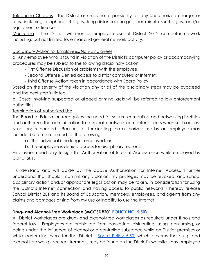Telephone Charges - The District assumes no responsibility for any unauthorized charges or fees, including telephone charges, long-distance charges, per minute surcharges, and/or equipment or line costs.

Monitoring - The District will monitor employee use of District 201's computer network including, but not limited to, e-mail and general network activity.

## Disciplinary Action for Employees/Non-Employees

a. Any employee who is found in violation of the District's computer policy or accompanying procedures may be subject to the following disciplinary action:

- First Offense Discussion of problems with the employee.

- Second Offense Denied access to district computers or Internet.
- Third Offense Action taken in accordance with Board Policy

Based on the severity of the violation any or all of the disciplinary steps may be bypassed and the next step initiated.

b. Cases involving suspected or alleged criminal acts will be referred to law enforcement authorities.

## Termination of Authorized Use

The Board of Education recognizes the need for secure computing and networking facilities and authorizes the administration to terminate network computer access when such access is no longer needed. Reasons for terminating the authorized use by an employee may include, but are not limited to, the following:

a . The individual is no longer employed; or

b. The employee is denied access for disciplinary reasons.

Employees need only to sign this Authorization of Internet Access once while employed by District 201.

I understand and will abide by the above Authorization for Internet Access. I further understand that should I commit any violation, my privileges may be revoked, and school disciplinary action and/or appropriate legal action may be taken. In consideration for using the District's Internet connection and having access to public networks, I hereby release School District 201 and its Board of Education, members, employees, and agents from any claims and damages arising from my use or inability to use the Internet.

## **Drug- and Alcohol-Free Workplace (MCCSD#201 POLICY [NO. 5:50](https://resources.finalsite.net/images/v1649098969/min201org/mis7zebuhp7lxabq0cki/550_1.pdf))**

All District workplaces are drug- and alcohol-free workplaces as required under Illinois and federal law. Employees are prohibited from possessing, distributing, using, consuming, or being under the influence of alcohol or a controlled substance while on District premises or while performing work for the District. <u>[Board](https://resources.finalsite.net/images/v1649098969/min201org/mis7zebuhp7lxabq0cki/550_1.pdf) Policy 5:50</u>, which governs the drug- and alcohol-free workplace requirements, may be found on the District's website. Any employee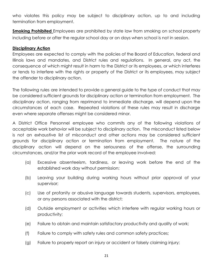who violates this policy may be subject to disciplinary action, up to and including termination from employment.

**Smoking Prohibited** Employees are prohibited by state law from smoking on school property including before or after the regular school day or on days when school is not in session.

## **Disciplinary Action**

Employees are expected to comply with the policies of the Board of Education, federal and Illinois laws and mandates, and District rules and regulations. In general, any act, the consequence of which might result in harm to the District or its employees, or which interferes or tends to interfere with the rights or property of the District or its employees, may subject the offender to disciplinary action.

The following rules are intended to provide a general guide to the type of conduct that may be considered sufficient grounds for disciplinary action or termination from employment. The disciplinary action, ranging from reprimand to immediate discharge, will depend upon the circumstances of each case. Repeated violations of these rules may result in discharge even where separate offenses might be considered minor.

A District Office Personnel employee who commits any of the following violations of acceptable work behavior will be subject to disciplinary action. The misconduct listed below is not an exhaustive list of misconduct and other actions may be considered sufficient grounds for disciplinary action or termination from employment. The nature of the disciplinary action will depend on the seriousness of the offense, the surrounding circumstances, and/or the prior work record of the employee involved:

- (a) Excessive absenteeism, tardiness, or leaving work before the end of the established work day without permission;
- (b) Leaving your building during working hours without prior approval of your supervisor;
- (c) Use of profanity or abusive language towards students, supervisors, employees, or any persons associated with the district;
- (d) Outside employment or activities which interfere with regular working hours or productivity;
- (e) Failure to obtain and maintain satisfactory productivity and quality of work;
- (f) Failure to comply with safety rules and common safety practices;
- (g) Failure to properly report an injury or accident or falsely claiming injury;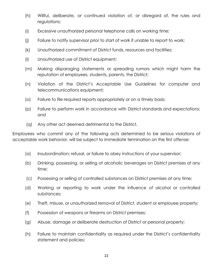- (h) Willful, deliberate, or continued violation of, or disregard of, the rules and regulations;
- (i) Excessive unauthorized personal telephone calls on working time;
- (j) Failure to notify supervisor prior to start of work if unable to report to work;
- (k) Unauthorized commitment of District funds, resources and facilities;
- (l) Unauthorized use of District equipment;
- (m) Making disparaging statements or spreading rumors which might harm the reputation of employees, students, parents, the District;
- (n) Violation of the District's Acceptable Use Guidelines for computer and telecommunications equipment;
- (o) Failure to file required reports appropriately or on a timely basis;
- (p) Failure to perform work in accordance with District standards and expectations; and
- (q) Any other act deemed detrimental to the District.

Employees who commit any of the following acts determined to be serious violations of acceptable work behavior, will be subject to immediate termination on the first offense:

- (a) Insubordination; refusal, or failure to obey instructions of your supervisor;
- (b) Drinking, possessing, or selling of alcoholic beverages on District premises at any time;
- (c) Possessing or selling of controlled substances on District premises at any time;
- (d) Working or reporting to work under the influence of alcohol or controlled substances;
- (e) Theft, misuse, or unauthorized removal of District, student or employee property;
- (f) Possession of weapons or firearms on District premises;
- (g) Abuse, damage or deliberate destruction of District or personal property;
- (h) Failure to maintain confidentiality as required under the District's confidentiality statement and policies;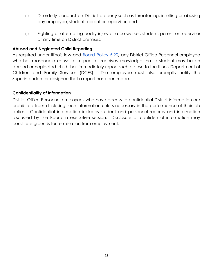- (i) Disorderly conduct on District property such as threatening, insulting or abusing any employee, student, parent or supervisor; and
- (j) Fighting or attempting bodily injury of a co-worker, student, parent or supervisor at any time on District premises.

#### **Abused and Neglected Child Reporting**

As required under Illinois law and **[Board](https://resources.finalsite.net/images/v1649098969/min201org/ewyidi4zaqwps5r5t8yv/590_2.pdf) Policy 5:90**, any District Office Personnel employee who has reasonable cause to suspect or receives knowledge that a student may be an abused or neglected child shall immediately report such a case to the Illinois Department of Children and Family Services (DCFS). The employee must also promptly notify the Superintendent or designee that a report has been made.

#### **Confidentiality of Information**

District Office Personnel employees who have access to confidential District information are prohibited from disclosing such information unless necessary in the performance of their job duties. Confidential information includes student and personnel records and information discussed by the Board in executive session. Disclosure of confidential information may constitute grounds for termination from employment.